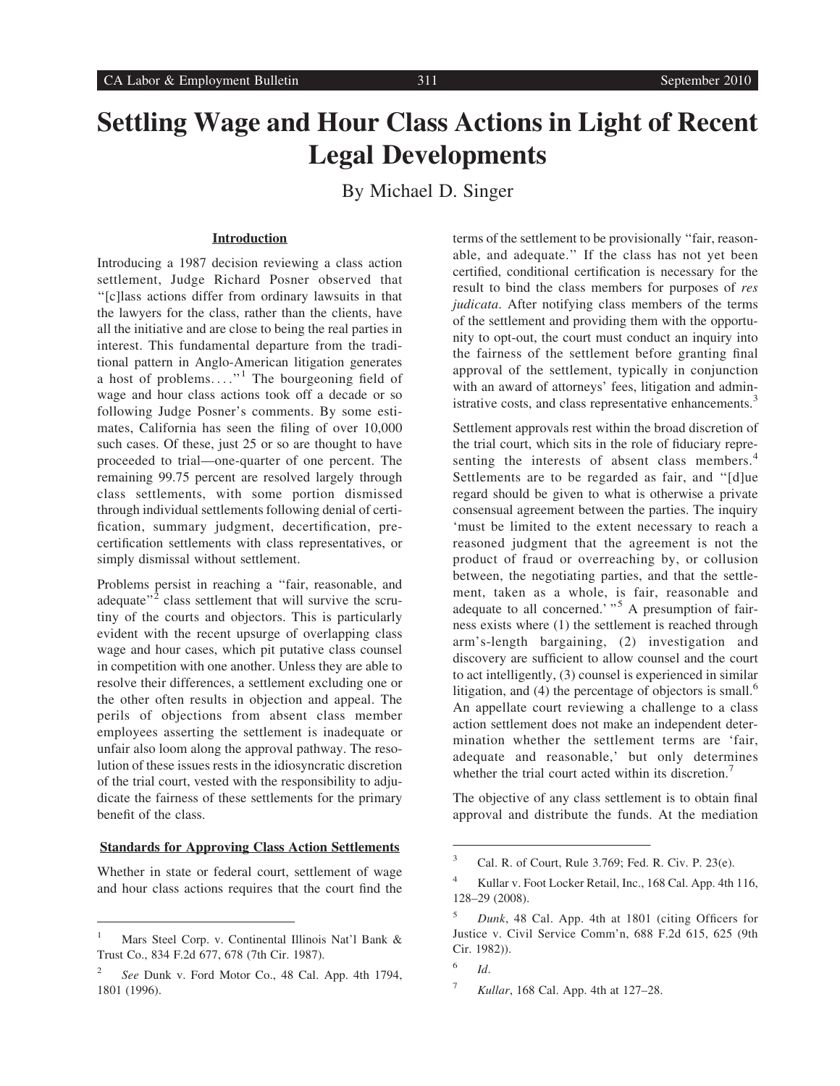# Settling Wage and Hour Class Actions in Light of Recent Legal Developments

By Michael D. Singer

#### Introduction

Introducing a 1987 decision reviewing a class action settlement, Judge Richard Posner observed that ''[c]lass actions differ from ordinary lawsuits in that the lawyers for the class, rather than the clients, have all the initiative and are close to being the real parties in interest. This fundamental departure from the traditional pattern in Anglo-American litigation generates a host of problems... .''<sup>1</sup> The bourgeoning field of wage and hour class actions took off a decade or so following Judge Posner's comments. By some estimates, California has seen the filing of over 10,000 such cases. Of these, just 25 or so are thought to have proceeded to trial—one-quarter of one percent. The remaining 99.75 percent are resolved largely through class settlements, with some portion dismissed through individual settlements following denial of certification, summary judgment, decertification, precertification settlements with class representatives, or simply dismissal without settlement.

Problems persist in reaching a ''fair, reasonable, and adequate"<sup>2</sup> class settlement that will survive the scrutiny of the courts and objectors. This is particularly evident with the recent upsurge of overlapping class wage and hour cases, which pit putative class counsel in competition with one another. Unless they are able to resolve their differences, a settlement excluding one or the other often results in objection and appeal. The perils of objections from absent class member employees asserting the settlement is inadequate or unfair also loom along the approval pathway. The resolution of these issues rests in the idiosyncratic discretion of the trial court, vested with the responsibility to adjudicate the fairness of these settlements for the primary benefit of the class.

#### Standards for Approving Class Action Settlements

Whether in state or federal court, settlement of wage and hour class actions requires that the court find the

terms of the settlement to be provisionally ''fair, reasonable, and adequate.'' If the class has not yet been certified, conditional certification is necessary for the result to bind the class members for purposes of res judicata. After notifying class members of the terms of the settlement and providing them with the opportunity to opt-out, the court must conduct an inquiry into the fairness of the settlement before granting final approval of the settlement, typically in conjunction with an award of attorneys' fees, litigation and administrative costs, and class representative enhancements.<sup>3</sup>

Settlement approvals rest within the broad discretion of the trial court, which sits in the role of fiduciary representing the interests of absent class members.<sup>4</sup> Settlements are to be regarded as fair, and ''[d]ue regard should be given to what is otherwise a private consensual agreement between the parties. The inquiry 'must be limited to the extent necessary to reach a reasoned judgment that the agreement is not the product of fraud or overreaching by, or collusion between, the negotiating parties, and that the settlement, taken as a whole, is fair, reasonable and adequate to all concerned.<sup>'</sup> $\frac{1}{5}$  A presumption of fairness exists where (1) the settlement is reached through arm's-length bargaining, (2) investigation and discovery are sufficient to allow counsel and the court to act intelligently, (3) counsel is experienced in similar litigation, and  $(4)$  the percentage of objectors is small.<sup>6</sup> An appellate court reviewing a challenge to a class action settlement does not make an independent determination whether the settlement terms are 'fair, adequate and reasonable,' but only determines whether the trial court acted within its discretion.<sup>7</sup>

The objective of any class settlement is to obtain final approval and distribute the funds. At the mediation

Mars Steel Corp. v. Continental Illinois Nat'l Bank & Trust Co., 834 F.2d 677, 678 (7th Cir. 1987).

See Dunk v. Ford Motor Co., 48 Cal. App. 4th 1794, 1801 (1996).

 $3$  Cal. R. of Court, Rule 3.769; Fed. R. Civ. P. 23(e).

<sup>4</sup> Kullar v. Foot Locker Retail, Inc., 168 Cal. App. 4th 116, 128–29 (2008).

<sup>5</sup> Dunk, 48 Cal. App. 4th at 1801 (citing Officers for Justice v. Civil Service Comm'n, 688 F.2d 615, 625 (9th Cir. 1982)).

 $6$  Id.

<sup>&</sup>lt;sup>7</sup> Kullar, 168 Cal. App. 4th at  $127-28$ .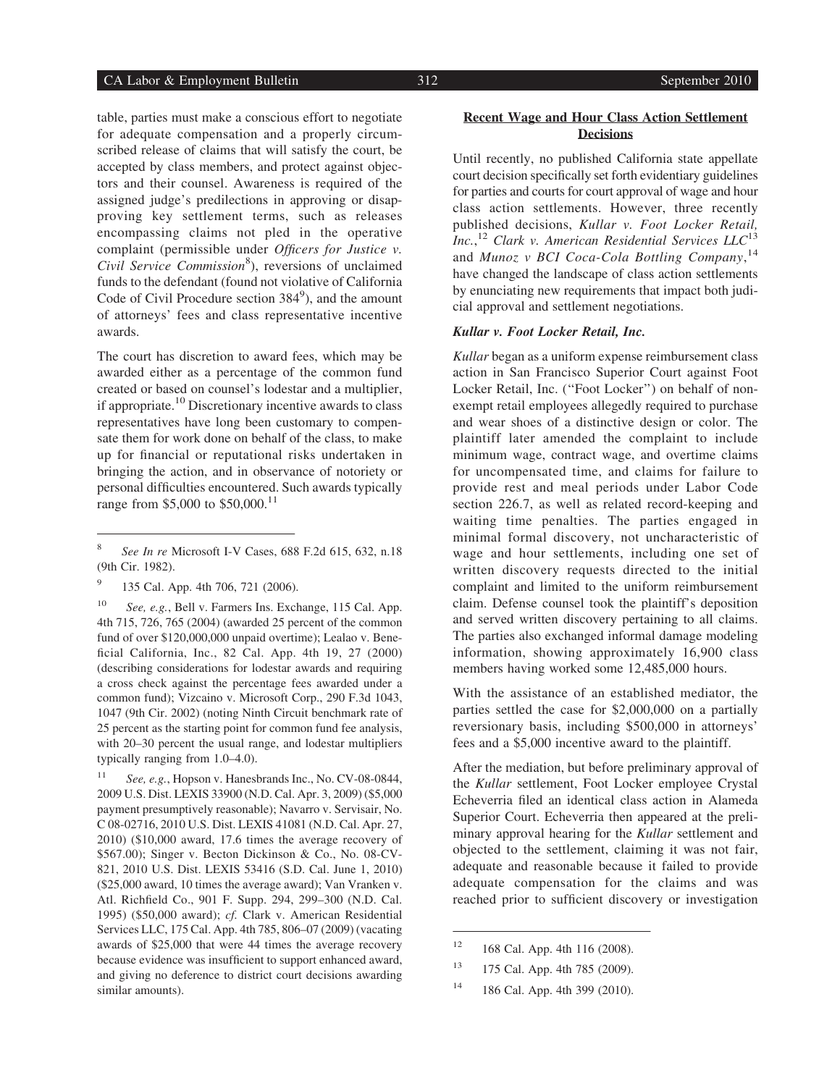## CA Labor & Employment Bulletin 312 September 2010

table, parties must make a conscious effort to negotiate for adequate compensation and a properly circumscribed release of claims that will satisfy the court, be accepted by class members, and protect against objectors and their counsel. Awareness is required of the assigned judge's predilections in approving or disapproving key settlement terms, such as releases encompassing claims not pled in the operative complaint (permissible under Officers for Justice v. Civil Service Commission<sup>8</sup>), reversions of unclaimed funds to the defendant (found not violative of California Code of Civil Procedure section 384<sup>9</sup>), and the amount of attorneys' fees and class representative incentive awards.

The court has discretion to award fees, which may be awarded either as a percentage of the common fund created or based on counsel's lodestar and a multiplier, if appropriate.<sup>10</sup> Discretionary incentive awards to class representatives have long been customary to compensate them for work done on behalf of the class, to make up for financial or reputational risks undertaken in bringing the action, and in observance of notoriety or personal difficulties encountered. Such awards typically range from \$5,000 to \$50,000.<sup>11</sup>

<sup>9</sup> 135 Cal. App. 4th 706, 721 (2006).

<sup>10</sup> See, e.g., Bell v. Farmers Ins. Exchange, 115 Cal. App. 4th 715, 726, 765 (2004) (awarded 25 percent of the common fund of over \$120,000,000 unpaid overtime); Lealao v. Beneficial California, Inc., 82 Cal. App. 4th 19, 27 (2000) (describing considerations for lodestar awards and requiring a cross check against the percentage fees awarded under a common fund); Vizcaino v. Microsoft Corp., 290 F.3d 1043, 1047 (9th Cir. 2002) (noting Ninth Circuit benchmark rate of 25 percent as the starting point for common fund fee analysis, with 20–30 percent the usual range, and lodestar multipliers typically ranging from 1.0–4.0).

 $\frac{11}{2}$  See, e.g., Hopson v. Hanesbrands Inc., No. CV-08-0844, 2009 U.S. Dist. LEXIS 33900 (N.D. Cal. Apr. 3, 2009) (\$5,000 payment presumptively reasonable); Navarro v. Servisair, No. C 08-02716, 2010 U.S. Dist. LEXIS 41081 (N.D. Cal. Apr. 27, 2010) (\$10,000 award, 17.6 times the average recovery of \$567.00); Singer v. Becton Dickinson & Co., No. 08-CV-821, 2010 U.S. Dist. LEXIS 53416 (S.D. Cal. June 1, 2010) (\$25,000 award, 10 times the average award); Van Vranken v. Atl. Richfield Co., 901 F. Supp. 294, 299–300 (N.D. Cal. 1995) (\$50,000 award); cf. Clark v. American Residential Services LLC, 175 Cal. App. 4th 785, 806–07 (2009) (vacating awards of \$25,000 that were 44 times the average recovery because evidence was insufficient to support enhanced award, and giving no deference to district court decisions awarding similar amounts).

## Recent Wage and Hour Class Action Settlement **Decisions**

Until recently, no published California state appellate court decision specifically set forth evidentiary guidelines for parties and courts for court approval of wage and hour class action settlements. However, three recently published decisions, Kullar v. Foot Locker Retail, Inc.,<sup>12</sup> Clark v. American Residential Services  $LLC^{13}$ and Munoz v BCI Coca-Cola Bottling Company,<sup>14</sup> have changed the landscape of class action settlements by enunciating new requirements that impact both judicial approval and settlement negotiations.

### Kullar v. Foot Locker Retail, Inc.

Kullar began as a uniform expense reimbursement class action in San Francisco Superior Court against Foot Locker Retail, Inc. (''Foot Locker'') on behalf of nonexempt retail employees allegedly required to purchase and wear shoes of a distinctive design or color. The plaintiff later amended the complaint to include minimum wage, contract wage, and overtime claims for uncompensated time, and claims for failure to provide rest and meal periods under Labor Code section 226.7, as well as related record-keeping and waiting time penalties. The parties engaged in minimal formal discovery, not uncharacteristic of wage and hour settlements, including one set of written discovery requests directed to the initial complaint and limited to the uniform reimbursement claim. Defense counsel took the plaintiff's deposition and served written discovery pertaining to all claims. The parties also exchanged informal damage modeling information, showing approximately 16,900 class members having worked some 12,485,000 hours.

With the assistance of an established mediator, the parties settled the case for \$2,000,000 on a partially reversionary basis, including \$500,000 in attorneys' fees and a \$5,000 incentive award to the plaintiff.

After the mediation, but before preliminary approval of the Kullar settlement, Foot Locker employee Crystal Echeverria filed an identical class action in Alameda Superior Court. Echeverria then appeared at the preliminary approval hearing for the Kullar settlement and objected to the settlement, claiming it was not fair, adequate and reasonable because it failed to provide adequate compensation for the claims and was reached prior to sufficient discovery or investigation

See In re Microsoft I-V Cases, 688 F.2d 615, 632, n.18 (9th Cir. 1982).

<sup>12</sup> 168 Cal. App. 4th 116 (2008).

<sup>13</sup> 175 Cal. App. 4th 785 (2009).

<sup>14</sup> 186 Cal. App. 4th 399 (2010).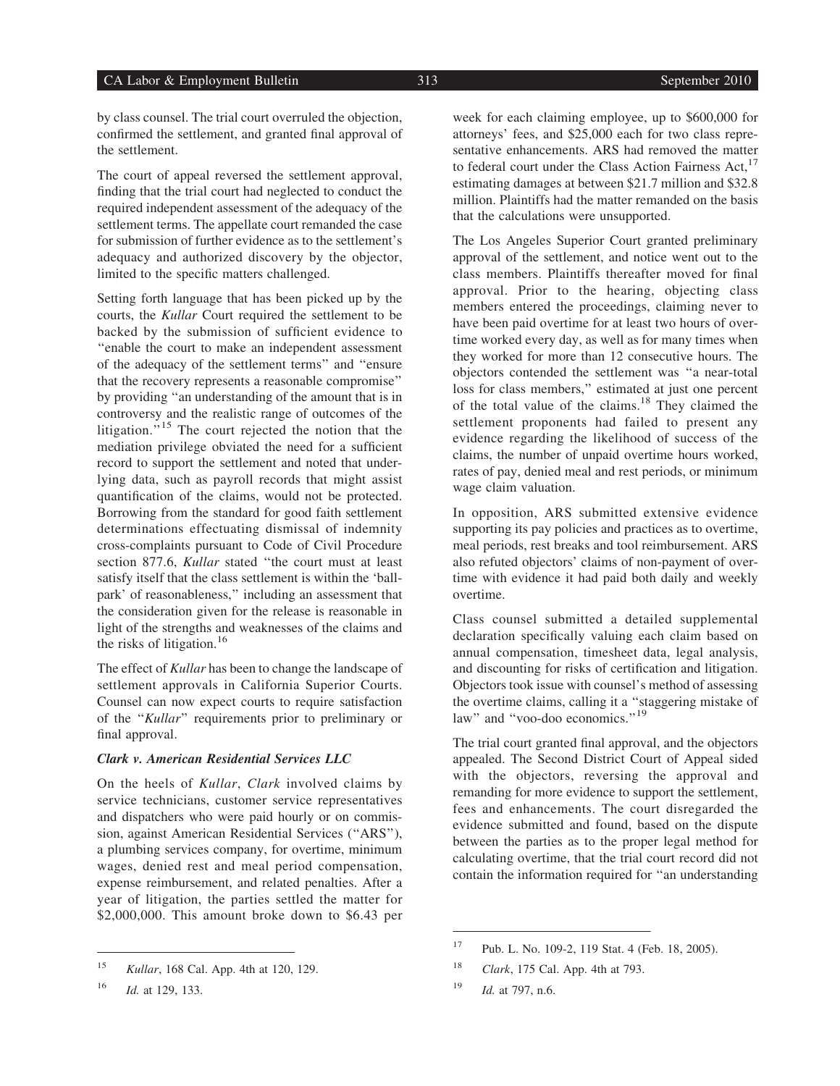by class counsel. The trial court overruled the objection, confirmed the settlement, and granted final approval of the settlement.

The court of appeal reversed the settlement approval, finding that the trial court had neglected to conduct the required independent assessment of the adequacy of the settlement terms. The appellate court remanded the case for submission of further evidence as to the settlement's adequacy and authorized discovery by the objector, limited to the specific matters challenged.

Setting forth language that has been picked up by the courts, the Kullar Court required the settlement to be backed by the submission of sufficient evidence to ''enable the court to make an independent assessment of the adequacy of the settlement terms'' and ''ensure that the recovery represents a reasonable compromise'' by providing ''an understanding of the amount that is in controversy and the realistic range of outcomes of the litigation."<sup>15</sup> The court rejected the notion that the mediation privilege obviated the need for a sufficient record to support the settlement and noted that underlying data, such as payroll records that might assist quantification of the claims, would not be protected. Borrowing from the standard for good faith settlement determinations effectuating dismissal of indemnity cross-complaints pursuant to Code of Civil Procedure section 877.6, Kullar stated ''the court must at least satisfy itself that the class settlement is within the 'ballpark' of reasonableness," including an assessment that the consideration given for the release is reasonable in light of the strengths and weaknesses of the claims and the risks of litigation.<sup>16</sup>

The effect of Kullar has been to change the landscape of settlement approvals in California Superior Courts. Counsel can now expect courts to require satisfaction of the ''Kullar'' requirements prior to preliminary or final approval.

#### Clark v. American Residential Services LLC

On the heels of Kullar, Clark involved claims by service technicians, customer service representatives and dispatchers who were paid hourly or on commission, against American Residential Services (''ARS''), a plumbing services company, for overtime, minimum wages, denied rest and meal period compensation, expense reimbursement, and related penalties. After a year of litigation, the parties settled the matter for \$2,000,000. This amount broke down to \$6.43 per week for each claiming employee, up to \$600,000 for attorneys' fees, and \$25,000 each for two class representative enhancements. ARS had removed the matter to federal court under the Class Action Fairness  $Act,^{17}$ estimating damages at between \$21.7 million and \$32.8 million. Plaintiffs had the matter remanded on the basis that the calculations were unsupported.

The Los Angeles Superior Court granted preliminary approval of the settlement, and notice went out to the class members. Plaintiffs thereafter moved for final approval. Prior to the hearing, objecting class members entered the proceedings, claiming never to have been paid overtime for at least two hours of overtime worked every day, as well as for many times when they worked for more than 12 consecutive hours. The objectors contended the settlement was ''a near-total loss for class members,'' estimated at just one percent of the total value of the claims.<sup>18</sup> They claimed the settlement proponents had failed to present any evidence regarding the likelihood of success of the claims, the number of unpaid overtime hours worked, rates of pay, denied meal and rest periods, or minimum wage claim valuation.

In opposition, ARS submitted extensive evidence supporting its pay policies and practices as to overtime, meal periods, rest breaks and tool reimbursement. ARS also refuted objectors' claims of non-payment of overtime with evidence it had paid both daily and weekly overtime.

Class counsel submitted a detailed supplemental declaration specifically valuing each claim based on annual compensation, timesheet data, legal analysis, and discounting for risks of certification and litigation. Objectors took issue with counsel's method of assessing the overtime claims, calling it a ''staggering mistake of law" and "voo-doo economics."<sup>19</sup>

The trial court granted final approval, and the objectors appealed. The Second District Court of Appeal sided with the objectors, reversing the approval and remanding for more evidence to support the settlement, fees and enhancements. The court disregarded the evidence submitted and found, based on the dispute between the parties as to the proper legal method for calculating overtime, that the trial court record did not contain the information required for ''an understanding

<sup>15</sup> Kullar, 168 Cal. App. 4th at 120, 129.

 $16$  *Id.* at 129, 133.

<sup>17</sup> Pub. L. No. 109-2, 119 Stat. 4 (Feb. 18, 2005).

 $18$  Clark, 175 Cal. App. 4th at 793.

 $19$  *Id.* at 797, n.6.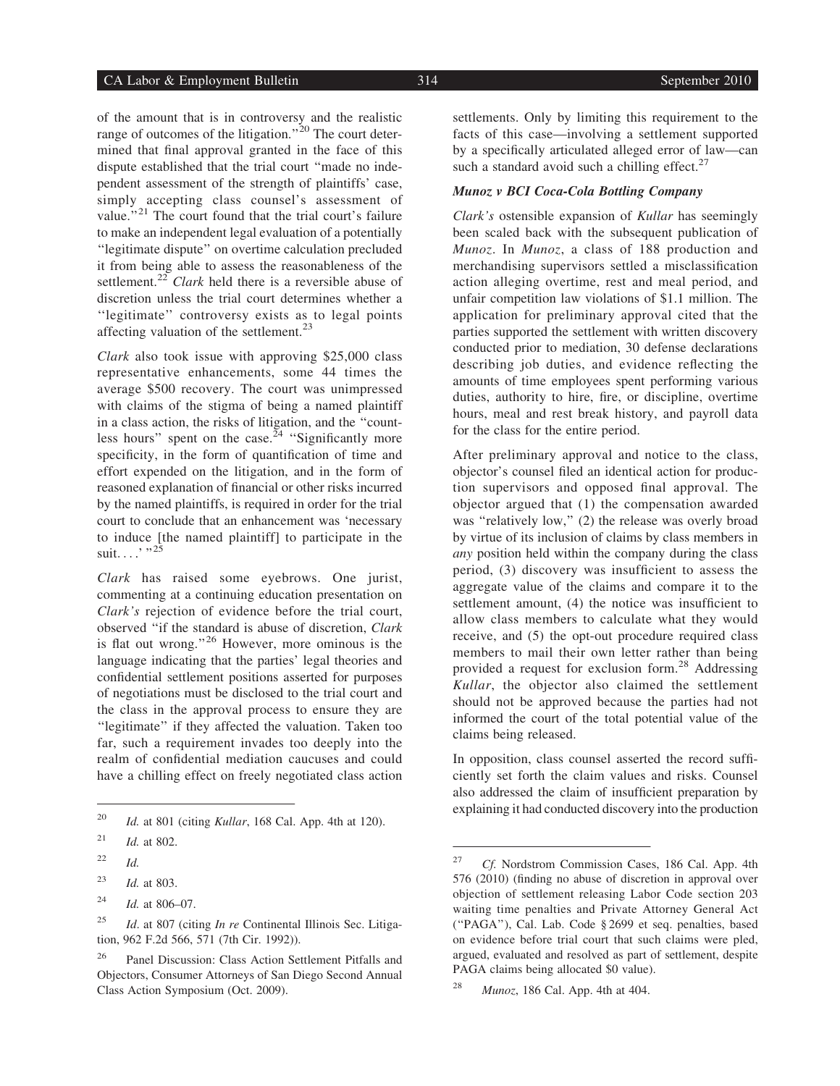of the amount that is in controversy and the realistic range of outcomes of the litigation. $\cdot$ <sup>20</sup> The court determined that final approval granted in the face of this dispute established that the trial court ''made no independent assessment of the strength of plaintiffs' case, simply accepting class counsel's assessment of value."<sup>21</sup> The court found that the trial court's failure to make an independent legal evaluation of a potentially ''legitimate dispute'' on overtime calculation precluded

it from being able to assess the reasonableness of the settlement.<sup>22</sup> Clark held there is a reversible abuse of discretion unless the trial court determines whether a ''legitimate'' controversy exists as to legal points affecting valuation of the settlement.<sup>23</sup>

Clark also took issue with approving \$25,000 class representative enhancements, some 44 times the average \$500 recovery. The court was unimpressed with claims of the stigma of being a named plaintiff in a class action, the risks of litigation, and the ''countless hours" spent on the case.<sup> $24$ </sup> "Significantly more specificity, in the form of quantification of time and effort expended on the litigation, and in the form of reasoned explanation of financial or other risks incurred by the named plaintiffs, is required in order for the trial court to conclude that an enhancement was 'necessary to induce [the named plaintiff] to participate in the suit....' $^{1,25}$ 

Clark has raised some eyebrows. One jurist, commenting at a continuing education presentation on Clark's rejection of evidence before the trial court, observed ''if the standard is abuse of discretion, Clark is flat out wrong."<sup>26</sup> However, more ominous is the language indicating that the parties' legal theories and confidential settlement positions asserted for purposes of negotiations must be disclosed to the trial court and the class in the approval process to ensure they are ''legitimate'' if they affected the valuation. Taken too far, such a requirement invades too deeply into the realm of confidential mediation caucuses and could have a chilling effect on freely negotiated class action settlements. Only by limiting this requirement to the facts of this case—involving a settlement supported by a specifically articulated alleged error of law—can such a standard avoid such a chilling effect. $27$ 

## Munoz v BCI Coca-Cola Bottling Company

Clark's ostensible expansion of Kullar has seemingly been scaled back with the subsequent publication of Munoz. In Munoz, a class of 188 production and merchandising supervisors settled a misclassification action alleging overtime, rest and meal period, and unfair competition law violations of \$1.1 million. The application for preliminary approval cited that the parties supported the settlement with written discovery conducted prior to mediation, 30 defense declarations describing job duties, and evidence reflecting the amounts of time employees spent performing various duties, authority to hire, fire, or discipline, overtime hours, meal and rest break history, and payroll data for the class for the entire period.

After preliminary approval and notice to the class, objector's counsel filed an identical action for production supervisors and opposed final approval. The objector argued that (1) the compensation awarded was "relatively low," (2) the release was overly broad by virtue of its inclusion of claims by class members in any position held within the company during the class period, (3) discovery was insufficient to assess the aggregate value of the claims and compare it to the settlement amount, (4) the notice was insufficient to allow class members to calculate what they would receive, and (5) the opt-out procedure required class members to mail their own letter rather than being provided a request for exclusion form.<sup>28</sup> Addressing Kullar, the objector also claimed the settlement should not be approved because the parties had not informed the court of the total potential value of the claims being released.

In opposition, class counsel asserted the record sufficiently set forth the claim values and risks. Counsel also addressed the claim of insufficient preparation by  $\frac{20}{d}$  *Id.* at 801 (citing Kullar, 168 Cal. App. 4th at 120).

 $^{21}$  *Id.* at 802.

 $^{22}$  *Id.* 

 $1d.$  at 803.

 $^{24}$  *Id.* at 806–07.

<sup>&</sup>lt;sup>25</sup> Id. at 807 (citing In re Continental Illinois Sec. Litigation, 962 F.2d 566, 571 (7th Cir. 1992)).

<sup>26</sup> Panel Discussion: Class Action Settlement Pitfalls and Objectors, Consumer Attorneys of San Diego Second Annual Class Action Symposium (Oct. 2009).

<sup>&</sup>lt;sup>27</sup> Cf. Nordstrom Commission Cases, 186 Cal. App. 4th 576 (2010) (finding no abuse of discretion in approval over objection of settlement releasing Labor Code section 203 waiting time penalties and Private Attorney General Act (''PAGA''), Cal. Lab. Code § 2699 et seq. penalties, based on evidence before trial court that such claims were pled, argued, evaluated and resolved as part of settlement, despite PAGA claims being allocated \$0 value).

<sup>&</sup>lt;sup>28</sup> *Munoz*, 186 Cal. App. 4th at 404.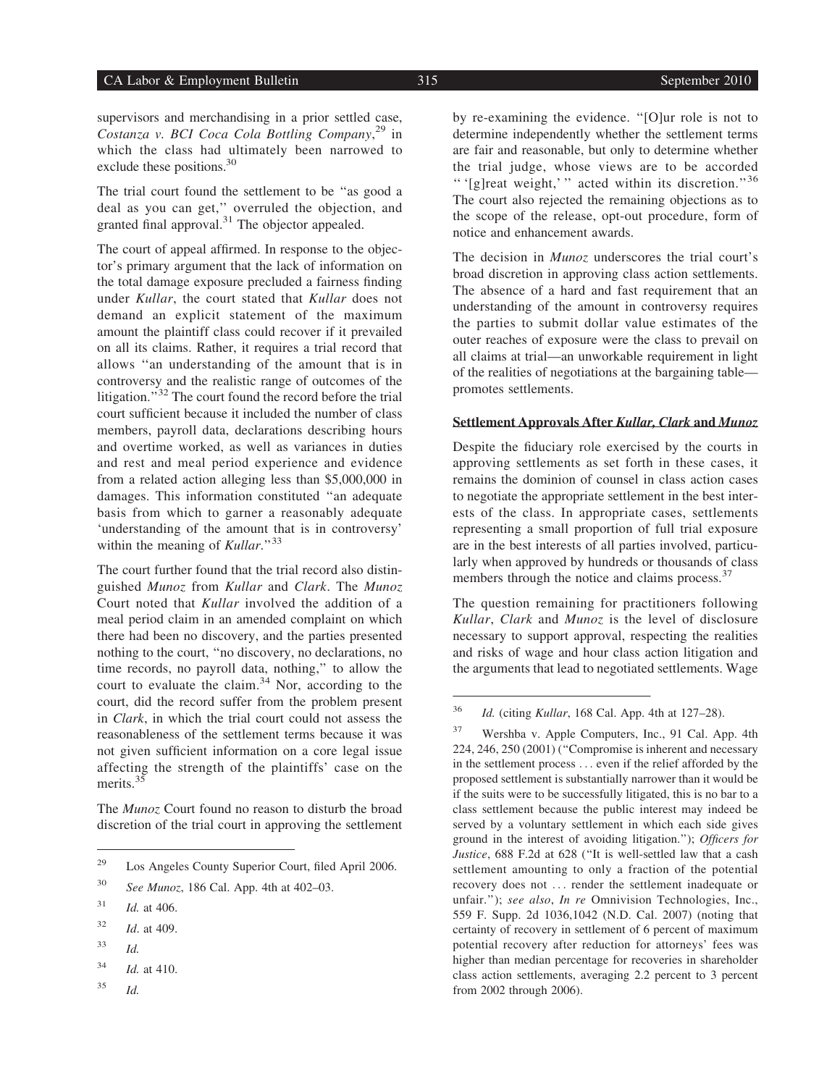## CA Labor & Employment Bulletin 315 September 2010

The trial court found the settlement to be ''as good a deal as you can get,'' overruled the objection, and granted final approval.<sup>31</sup> The objector appealed.

The court of appeal affirmed. In response to the objector's primary argument that the lack of information on the total damage exposure precluded a fairness finding under Kullar, the court stated that Kullar does not demand an explicit statement of the maximum amount the plaintiff class could recover if it prevailed on all its claims. Rather, it requires a trial record that allows ''an understanding of the amount that is in controversy and the realistic range of outcomes of the litigation."<sup>32</sup> The court found the record before the trial court sufficient because it included the number of class members, payroll data, declarations describing hours and overtime worked, as well as variances in duties and rest and meal period experience and evidence from a related action alleging less than \$5,000,000 in damages. This information constituted ''an adequate basis from which to garner a reasonably adequate 'understanding of the amount that is in controversy' within the meaning of  $Kullar.^{33}$ 

The court further found that the trial record also distinguished Munoz from Kullar and Clark. The Munoz Court noted that Kullar involved the addition of a meal period claim in an amended complaint on which there had been no discovery, and the parties presented nothing to the court, ''no discovery, no declarations, no time records, no payroll data, nothing,'' to allow the court to evaluate the claim. $34$  Nor, according to the court, did the record suffer from the problem present in Clark, in which the trial court could not assess the reasonableness of the settlement terms because it was not given sufficient information on a core legal issue affecting the strength of the plaintiffs' case on the merits.<sup>35</sup>

The *Munoz* Court found no reason to disturb the broad discretion of the trial court in approving the settlement

- $32$  *Id.* at 409.
- $33$  Id.
- $34$  *Id.* at 410.
- <sup>35</sup> Id.

by re-examining the evidence. ''[O]ur role is not to determine independently whether the settlement terms are fair and reasonable, but only to determine whether the trial judge, whose views are to be accorded "'  $[g]$ reat weight,' " acted within its discretion."<sup>36</sup> The court also rejected the remaining objections as to the scope of the release, opt-out procedure, form of notice and enhancement awards.

The decision in *Munoz* underscores the trial court's broad discretion in approving class action settlements. The absence of a hard and fast requirement that an understanding of the amount in controversy requires the parties to submit dollar value estimates of the outer reaches of exposure were the class to prevail on all claims at trial—an unworkable requirement in light of the realities of negotiations at the bargaining table promotes settlements.

## Settlement Approvals After Kullar, Clark and Munoz

Despite the fiduciary role exercised by the courts in approving settlements as set forth in these cases, it remains the dominion of counsel in class action cases to negotiate the appropriate settlement in the best interests of the class. In appropriate cases, settlements representing a small proportion of full trial exposure are in the best interests of all parties involved, particularly when approved by hundreds or thousands of class members through the notice and claims process.<sup>37</sup>

The question remaining for practitioners following Kullar, Clark and Munoz is the level of disclosure necessary to support approval, respecting the realities and risks of wage and hour class action litigation and the arguments that lead to negotiated settlements. Wage

<sup>29</sup> Los Angeles County Superior Court, filed April 2006.

 $30$  See Munoz, 186 Cal. App. 4th at 402–03.

 $^{31}$  *Id.* at 406.

 $^{36}$  Id. (citing Kullar, 168 Cal. App. 4th at 127–28).

<sup>37</sup> Wershba v. Apple Computers, Inc., 91 Cal. App. 4th 224, 246, 250 (2001) (''Compromise is inherent and necessary in the settlement process ... even if the relief afforded by the proposed settlement is substantially narrower than it would be if the suits were to be successfully litigated, this is no bar to a class settlement because the public interest may indeed be served by a voluntary settlement in which each side gives ground in the interest of avoiding litigation.''); Officers for Justice, 688 F.2d at 628 ("It is well-settled law that a cash settlement amounting to only a fraction of the potential recovery does not ... render the settlement inadequate or unfair."); see also, In re Omnivision Technologies, Inc., 559 F. Supp. 2d 1036,1042 (N.D. Cal. 2007) (noting that certainty of recovery in settlement of 6 percent of maximum potential recovery after reduction for attorneys' fees was higher than median percentage for recoveries in shareholder class action settlements, averaging 2.2 percent to 3 percent from 2002 through 2006).